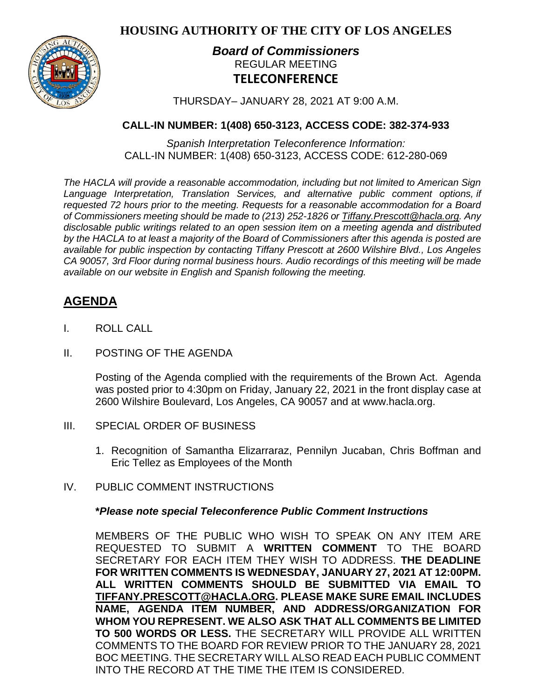**HOUSING AUTHORITY OF THE CITY OF LOS ANGELES**



## *Board of Commissioners* REGULAR MEETING **TELECONFERENCE**

THURSDAY– JANUARY 28, 2021 AT 9:00 A.M.

## **CALL-IN NUMBER: 1(408) 650-3123, ACCESS CODE: 382-374-933**

*Spanish Interpretation Teleconference Information:* CALL-IN NUMBER: 1(408) 650-3123, ACCESS CODE: 612-280-069

*The HACLA will provide a reasonable accommodation, including but not limited to American Sign Language Interpretation, Translation Services, and alternative public comment options, if requested 72 hours prior to the meeting. Requests for a reasonable accommodation for a Board of Commissioners meeting should be made to (213) 252-1826 or Tiffany.Prescott@hacla.org. Any disclosable public writings related to an open session item on a meeting agenda and distributed by the HACLA to at least a majority of the Board of Commissioners after this agenda is posted are available for public inspection by contacting Tiffany Prescott at 2600 Wilshire Blvd., Los Angeles CA 90057, 3rd Floor during normal business hours. Audio recordings of this meeting will be made available on our website in English and Spanish following the meeting.*

# **AGENDA**

- I. ROLL CALL
- II. POSTING OF THE AGENDA

Posting of the Agenda complied with the requirements of the Brown Act. Agenda was posted prior to 4:30pm on Friday, January 22, 2021 in the front display case at 2600 Wilshire Boulevard, Los Angeles, CA 90057 and at [www.hacla.org.](http://www.hacla.org/)

- III. SPECIAL ORDER OF BUSINESS
	- 1. Recognition of Samantha Elizarraraz, Pennilyn Jucaban, Chris Boffman and Eric Tellez as Employees of the Month
- IV. PUBLIC COMMENT INSTRUCTIONS

## **\****Please note special Teleconference Public Comment Instructions*

MEMBERS OF THE PUBLIC WHO WISH TO SPEAK ON ANY ITEM ARE REQUESTED TO SUBMIT A **WRITTEN COMMENT** TO THE BOARD SECRETARY FOR EACH ITEM THEY WISH TO ADDRESS. **THE DEADLINE FOR WRITTEN COMMENTS IS WEDNESDAY, JANUARY 27, 2021 AT 12:00PM. ALL WRITTEN COMMENTS SHOULD BE SUBMITTED VIA EMAIL TO [TIFFANY.PRESCOTT@HACLA.ORG.](mailto:TIFFANY.PRESCOTT@HACLA.ORG) PLEASE MAKE SURE EMAIL INCLUDES NAME, AGENDA ITEM NUMBER, AND ADDRESS/ORGANIZATION FOR WHOM YOU REPRESENT. WE ALSO ASK THAT ALL COMMENTS BE LIMITED TO 500 WORDS OR LESS.** THE SECRETARY WILL PROVIDE ALL WRITTEN COMMENTS TO THE BOARD FOR REVIEW PRIOR TO THE JANUARY 28, 2021 BOC MEETING. THE SECRETARY WILL ALSO READ EACH PUBLIC COMMENT INTO THE RECORD AT THE TIME THE ITEM IS CONSIDERED.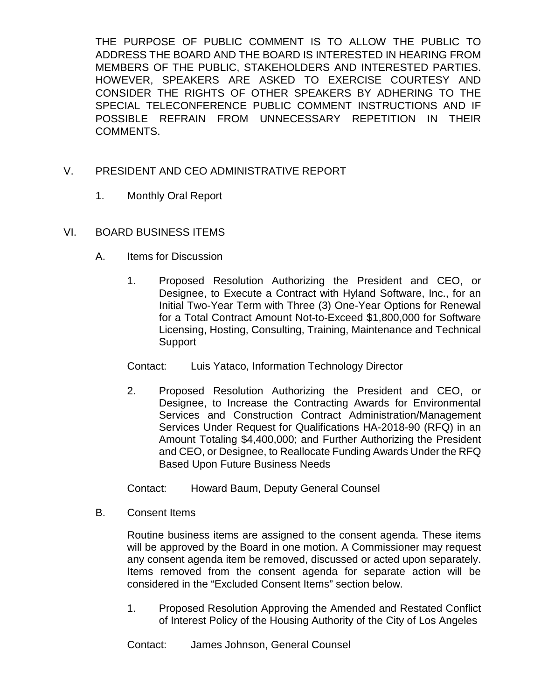THE PURPOSE OF PUBLIC COMMENT IS TO ALLOW THE PUBLIC TO ADDRESS THE BOARD AND THE BOARD IS INTERESTED IN HEARING FROM MEMBERS OF THE PUBLIC, STAKEHOLDERS AND INTERESTED PARTIES. HOWEVER, SPEAKERS ARE ASKED TO EXERCISE COURTESY AND CONSIDER THE RIGHTS OF OTHER SPEAKERS BY ADHERING TO THE SPECIAL TELECONFERENCE PUBLIC COMMENT INSTRUCTIONS AND IF POSSIBLE REFRAIN FROM UNNECESSARY REPETITION IN THEIR COMMENTS.

## V. PRESIDENT AND CEO ADMINISTRATIVE REPORT

1. Monthly Oral Report

### VI. BOARD BUSINESS ITEMS

- A. Items for Discussion
	- 1. Proposed Resolution Authorizing the President and CEO, or Designee, to Execute a Contract with Hyland Software, Inc., for an Initial Two-Year Term with Three (3) One-Year Options for Renewal for a Total Contract Amount Not-to-Exceed \$1,800,000 for Software Licensing, Hosting, Consulting, Training, Maintenance and Technical **Support**
	- Contact: Luis Yataco, Information Technology Director
	- 2. Proposed Resolution Authorizing the President and CEO, or Designee, to Increase the Contracting Awards for Environmental Services and Construction Contract Administration/Management Services Under Request for Qualifications HA-2018-90 (RFQ) in an Amount Totaling \$4,400,000; and Further Authorizing the President and CEO, or Designee, to Reallocate Funding Awards Under the RFQ Based Upon Future Business Needs

Contact: Howard Baum, Deputy General Counsel

B. Consent Items

Routine business items are assigned to the consent agenda. These items will be approved by the Board in one motion. A Commissioner may request any consent agenda item be removed, discussed or acted upon separately. Items removed from the consent agenda for separate action will be considered in the "Excluded Consent Items" section below.

1. Proposed Resolution Approving the Amended and Restated Conflict of Interest Policy of the Housing Authority of the City of Los Angeles

Contact: James Johnson, General Counsel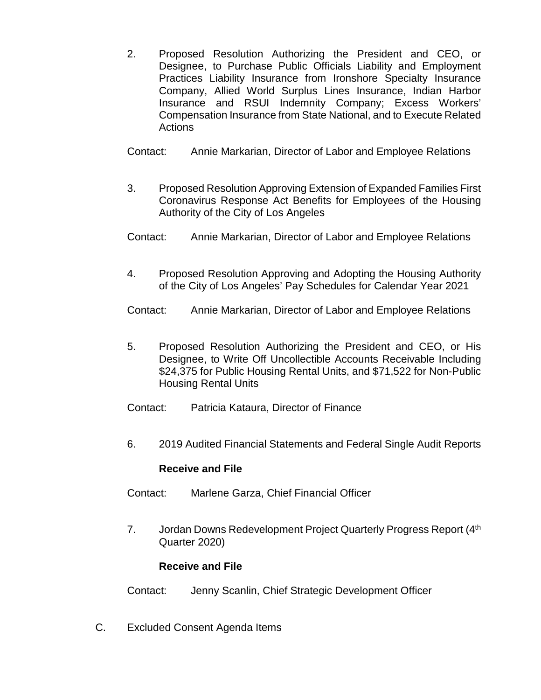- 2. Proposed Resolution Authorizing the President and CEO, or Designee, to Purchase Public Officials Liability and Employment Practices Liability Insurance from Ironshore Specialty Insurance Company, Allied World Surplus Lines Insurance, Indian Harbor Insurance and RSUI Indemnity Company; Excess Workers' Compensation Insurance from State National, and to Execute Related **Actions**
- Contact: Annie Markarian, Director of Labor and Employee Relations
- 3. Proposed Resolution Approving Extension of Expanded Families First Coronavirus Response Act Benefits for Employees of the Housing Authority of the City of Los Angeles
- Contact: Annie Markarian, Director of Labor and Employee Relations
- 4. Proposed Resolution Approving and Adopting the Housing Authority of the City of Los Angeles' Pay Schedules for Calendar Year 2021
- Contact: Annie Markarian, Director of Labor and Employee Relations
- 5. Proposed Resolution Authorizing the President and CEO, or His Designee, to Write Off Uncollectible Accounts Receivable Including \$24,375 for Public Housing Rental Units, and \$71,522 for Non-Public Housing Rental Units
- Contact: Patricia Kataura, Director of Finance
- 6. 2019 Audited Financial Statements and Federal Single Audit Reports

### **Receive and File**

- Contact: Marlene Garza, Chief Financial Officer
- 7. Jordan Downs Redevelopment Project Quarterly Progress Report (4<sup>th</sup>) Quarter 2020)

### **Receive and File**

- Contact: Jenny Scanlin, Chief Strategic Development Officer
- C. Excluded Consent Agenda Items